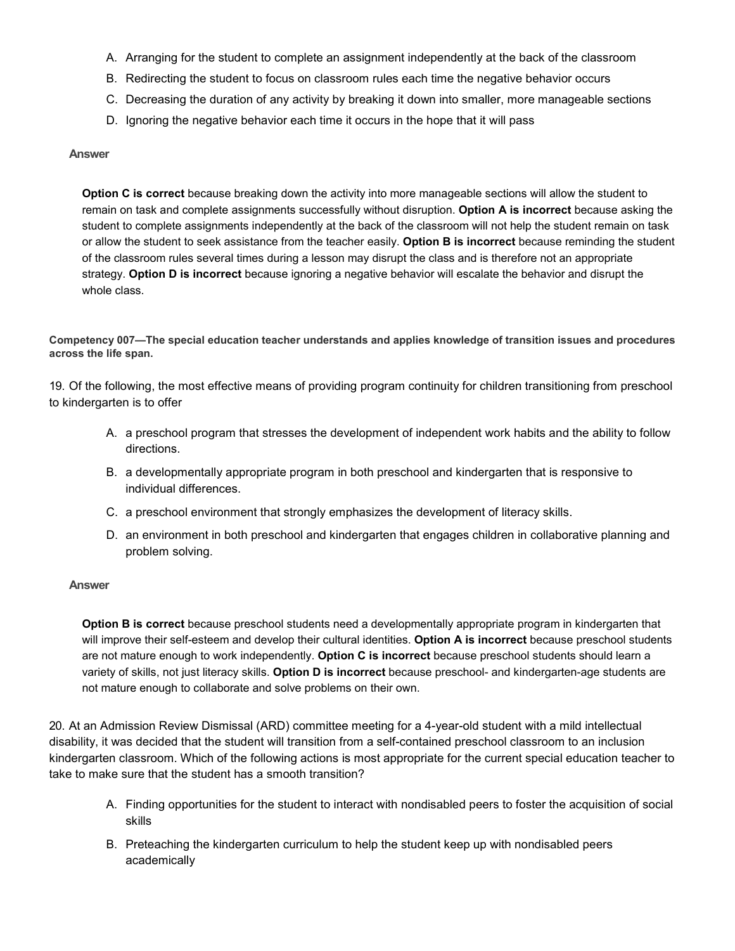- A. Arranging for the student to complete an assignment independently at the back of the classroom
- B. Redirecting the student to focus on classroom rules each time the negative behavior occurs
- C. Decreasing the duration of any activity by breaking it down into smaller, more manageable sections
- D. Ignoring the negative behavior each time it occurs in the hope that it will pass

**Option C is correct** because breaking down the activity into more manageable sections will allow the student to remain on task and complete assignments successfully without disruption. **Option A is incorrect** because asking the student to complete assignments independently at the back of the classroom will not help the student remain on task or allow the student to seek assistance from the teacher easily. **Option B is incorrect** because reminding the student of the classroom rules several times during a lesson may disrupt the class and is therefore not an appropriate strategy. **Option D is incorrect** because ignoring a negative behavior will escalate the behavior and disrupt the whole class.

**Competency 007—The special education teacher understands and applies knowledge of transition issues and procedures across the life span.**

19. Of the following, the most effective means of providing program continuity for children transitioning from preschool to kindergarten is to offer

- A. a preschool program that stresses the development of independent work habits and the ability to follow directions.
- B. a developmentally appropriate program in both preschool and kindergarten that is responsive to individual differences.
- C. a preschool environment that strongly emphasizes the development of literacy skills.
- D. an environment in both preschool and kindergarten that engages children in collaborative planning and problem solving.

#### **Answer**

**Option B is correct** because preschool students need a developmentally appropriate program in kindergarten that will improve their self-esteem and develop their cultural identities. **Option A is incorrect** because preschool students are not mature enough to work independently. **Option C is incorrect** because preschool students should learn a variety of skills, not just literacy skills. **Option D is incorrect** because preschool- and kindergarten-age students are not mature enough to collaborate and solve problems on their own.

20. At an Admission Review Dismissal (ARD) committee meeting for a 4-year-old student with a mild intellectual disability, it was decided that the student will transition from a self-contained preschool classroom to an inclusion kindergarten classroom. Which of the following actions is most appropriate for the current special education teacher to take to make sure that the student has a smooth transition?

- A. Finding opportunities for the student to interact with nondisabled peers to foster the acquisition of social skills
- B. Preteaching the kindergarten curriculum to help the student keep up with nondisabled peers academically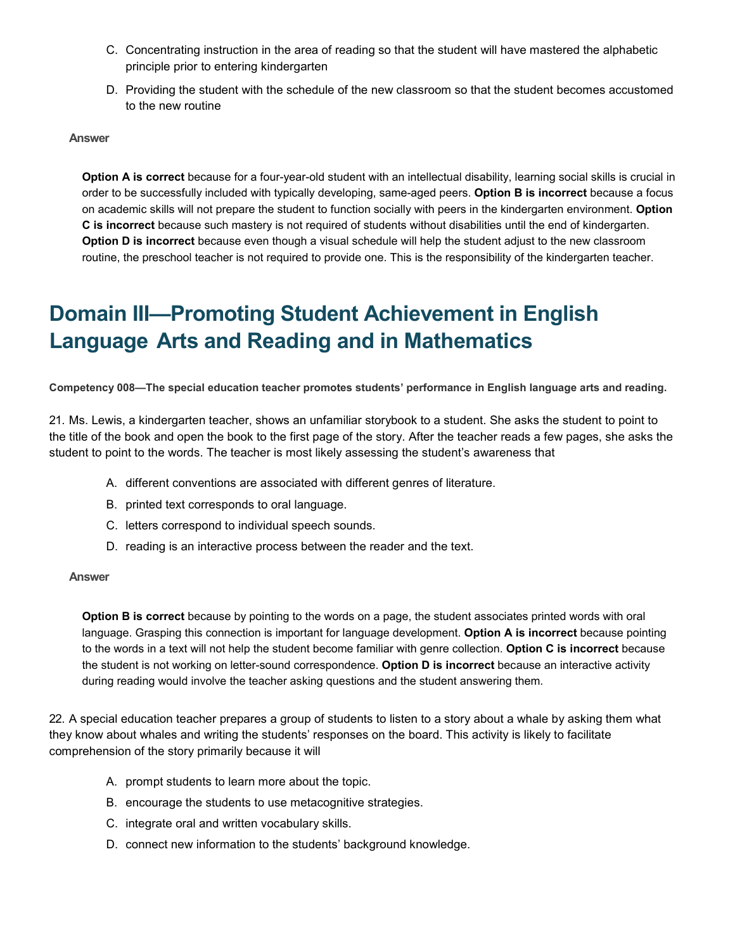- C. Concentrating instruction in the area of reading so that the student will have mastered the alphabetic principle prior to entering kindergarten
- D. Providing the student with the schedule of the new classroom so that the student becomes accustomed to the new routine

**Option A is correct** because for a four-year-old student with an intellectual disability, learning social skills is crucial in order to be successfully included with typically developing, same-aged peers. **Option B is incorrect** because a focus on academic skills will not prepare the student to function socially with peers in the kindergarten environment. **Option C is incorrect** because such mastery is not required of students without disabilities until the end of kindergarten. **Option D is incorrect** because even though a visual schedule will help the student adjust to the new classroom routine, the preschool teacher is not required to provide one. This is the responsibility of the kindergarten teacher.

## **Domain III—Promoting Student Achievement in English Language Arts and Reading and in Mathematics**

**Competency 008—The special education teacher promotes students' performance in English language arts and reading.**

21. Ms. Lewis, a kindergarten teacher, shows an unfamiliar storybook to a student. She asks the student to point to the title of the book and open the book to the first page of the story. After the teacher reads a few pages, she asks the student to point to the words. The teacher is most likely assessing the student's awareness that

- A. different conventions are associated with different genres of literature.
- B. printed text corresponds to oral language.
- C. letters correspond to individual speech sounds.
- D. reading is an interactive process between the reader and the text.

#### **Answer**

**Option B is correct** because by pointing to the words on a page, the student associates printed words with oral language. Grasping this connection is important for language development. **Option A is incorrect** because pointing to the words in a text will not help the student become familiar with genre collection. **Option C is incorrect** because the student is not working on letter-sound correspondence. **Option D is incorrect** because an interactive activity during reading would involve the teacher asking questions and the student answering them.

22. A special education teacher prepares a group of students to listen to a story about a whale by asking them what they know about whales and writing the students' responses on the board. This activity is likely to facilitate comprehension of the story primarily because it will

- A. prompt students to learn more about the topic.
- B. encourage the students to use metacognitive strategies.
- C. integrate oral and written vocabulary skills.
- D. connect new information to the students' background knowledge.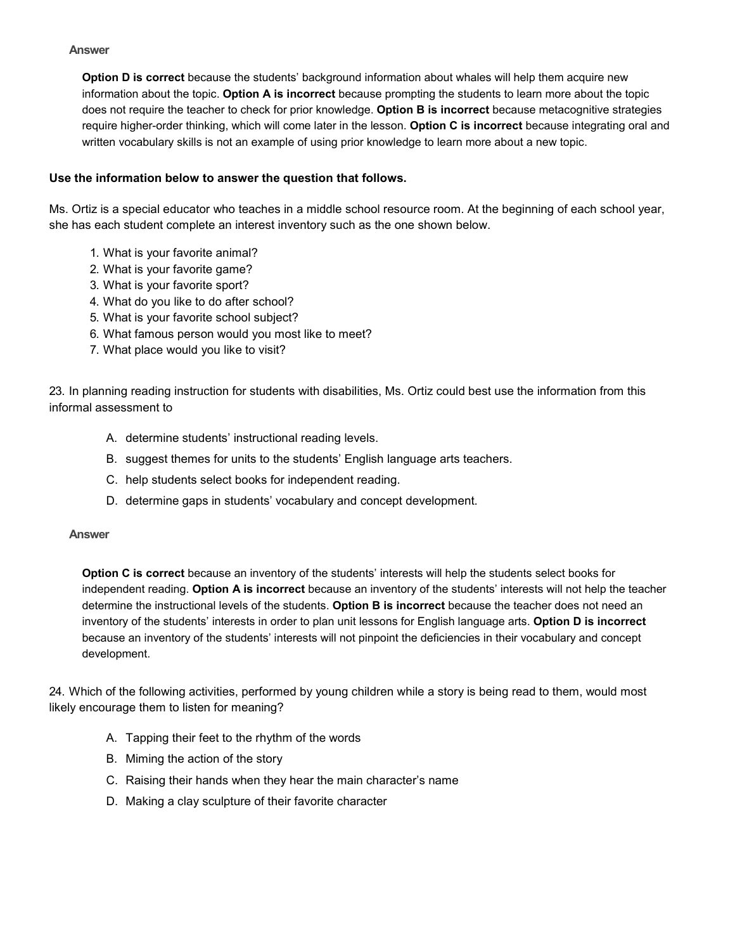**Option D is correct** because the students' background information about whales will help them acquire new information about the topic. **Option A is incorrect** because prompting the students to learn more about the topic does not require the teacher to check for prior knowledge. **Option B is incorrect** because metacognitive strategies require higher-order thinking, which will come later in the lesson. **Option C is incorrect** because integrating oral and written vocabulary skills is not an example of using prior knowledge to learn more about a new topic.

## **Use the information below to answer the question that follows.**

Ms. Ortiz is a special educator who teaches in a middle school resource room. At the beginning of each school year, she has each student complete an interest inventory such as the one shown below.

- 1. What is your favorite animal?
- 2. What is your favorite game?
- 3. What is your favorite sport?
- 4. What do you like to do after school?
- 5. What is your favorite school subject?
- 6. What famous person would you most like to meet?
- 7. What place would you like to visit?

23. In planning reading instruction for students with disabilities, Ms. Ortiz could best use the information from this informal assessment to

- A. determine students' instructional reading levels.
- B. suggest themes for units to the students' English language arts teachers.
- C. help students select books for independent reading.
- D. determine gaps in students' vocabulary and concept development.

#### **Answer**

**Option C is correct** because an inventory of the students' interests will help the students select books for independent reading. **Option A is incorrect** because an inventory of the students' interests will not help the teacher determine the instructional levels of the students. **Option B is incorrect** because the teacher does not need an inventory of the students' interests in order to plan unit lessons for English language arts. **Option D is incorrect**  because an inventory of the students' interests will not pinpoint the deficiencies in their vocabulary and concept development.

24. Which of the following activities, performed by young children while a story is being read to them, would most likely encourage them to listen for meaning?

- A. Tapping their feet to the rhythm of the words
- B. Miming the action of the story
- C. Raising their hands when they hear the main character's name
- D. Making a clay sculpture of their favorite character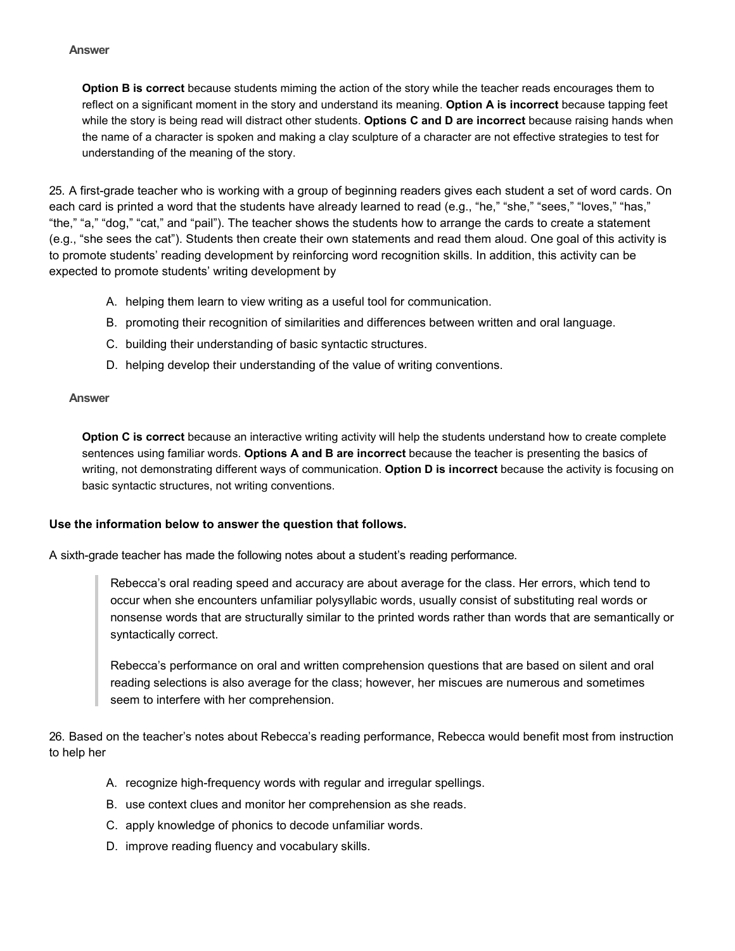**Option B is correct** because students miming the action of the story while the teacher reads encourages them to reflect on a significant moment in the story and understand its meaning. **Option A is incorrect** because tapping feet while the story is being read will distract other students. **Options C and D are incorrect** because raising hands when the name of a character is spoken and making a clay sculpture of a character are not effective strategies to test for understanding of the meaning of the story.

25. A first-grade teacher who is working with a group of beginning readers gives each student a set of word cards. On each card is printed a word that the students have already learned to read (e.g., "he," "she," "sees," "loves," "has," "the," "a," "dog," "cat," and "pail"). The teacher shows the students how to arrange the cards to create a statement (e.g., "she sees the cat"). Students then create their own statements and read them aloud. One goal of this activity is to promote students' reading development by reinforcing word recognition skills. In addition, this activity can be expected to promote students' writing development by

- A. helping them learn to view writing as a useful tool for communication.
- B. promoting their recognition of similarities and differences between written and oral language.
- C. building their understanding of basic syntactic structures.
- D. helping develop their understanding of the value of writing conventions.

#### **Answer**

**Option C is correct** because an interactive writing activity will help the students understand how to create complete sentences using familiar words. **Options A and B are incorrect** because the teacher is presenting the basics of writing, not demonstrating different ways of communication. **Option D is incorrect** because the activity is focusing on basic syntactic structures, not writing conventions.

## **Use the information below to answer the question that follows.**

A sixth-grade teacher has made the following notes about a student's reading performance.

Rebecca's oral reading speed and accuracy are about average for the class. Her errors, which tend to occur when she encounters unfamiliar polysyllabic words, usually consist of substituting real words or nonsense words that are structurally similar to the printed words rather than words that are semantically or syntactically correct.

Rebecca's performance on oral and written comprehension questions that are based on silent and oral reading selections is also average for the class; however, her miscues are numerous and sometimes seem to interfere with her comprehension.

26. Based on the teacher's notes about Rebecca's reading performance, Rebecca would benefit most from instruction to help her

- A. recognize high-frequency words with regular and irregular spellings.
- B. use context clues and monitor her comprehension as she reads.
- C. apply knowledge of phonics to decode unfamiliar words.
- D. improve reading fluency and vocabulary skills.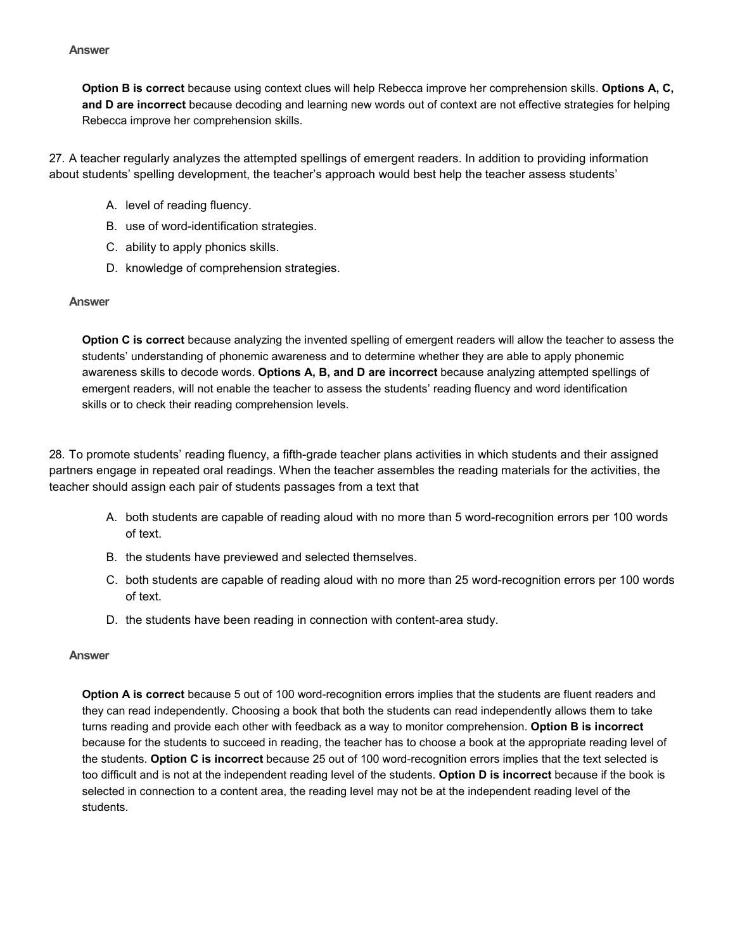**Option B is correct** because using context clues will help Rebecca improve her comprehension skills. **Options A, C, and D are incorrect** because decoding and learning new words out of context are not effective strategies for helping Rebecca improve her comprehension skills.

27. A teacher regularly analyzes the attempted spellings of emergent readers. In addition to providing information about students' spelling development, the teacher's approach would best help the teacher assess students'

- A. level of reading fluency.
- B. use of word-identification strategies.
- C. ability to apply phonics skills.
- D. knowledge of comprehension strategies.

#### **Answer**

**Option C is correct** because analyzing the invented spelling of emergent readers will allow the teacher to assess the students' understanding of phonemic awareness and to determine whether they are able to apply phonemic awareness skills to decode words. **Options A, B, and D are incorrect** because analyzing attempted spellings of emergent readers, will not enable the teacher to assess the students' reading fluency and word identification skills or to check their reading comprehension levels.

28. To promote students' reading fluency, a fifth-grade teacher plans activities in which students and their assigned partners engage in repeated oral readings. When the teacher assembles the reading materials for the activities, the teacher should assign each pair of students passages from a text that

- A. both students are capable of reading aloud with no more than 5 word-recognition errors per 100 words of text.
- B. the students have previewed and selected themselves.
- C. both students are capable of reading aloud with no more than 25 word-recognition errors per 100 words of text.
- D. the students have been reading in connection with content-area study.

#### **Answer**

**Option A is correct** because 5 out of 100 word-recognition errors implies that the students are fluent readers and they can read independently. Choosing a book that both the students can read independently allows them to take turns reading and provide each other with feedback as a way to monitor comprehension. **Option B is incorrect** because for the students to succeed in reading, the teacher has to choose a book at the appropriate reading level of the students. **Option C is incorrect** because 25 out of 100 word-recognition errors implies that the text selected is too difficult and is not at the independent reading level of the students. **Option D is incorrect** because if the book is selected in connection to a content area, the reading level may not be at the independent reading level of the students.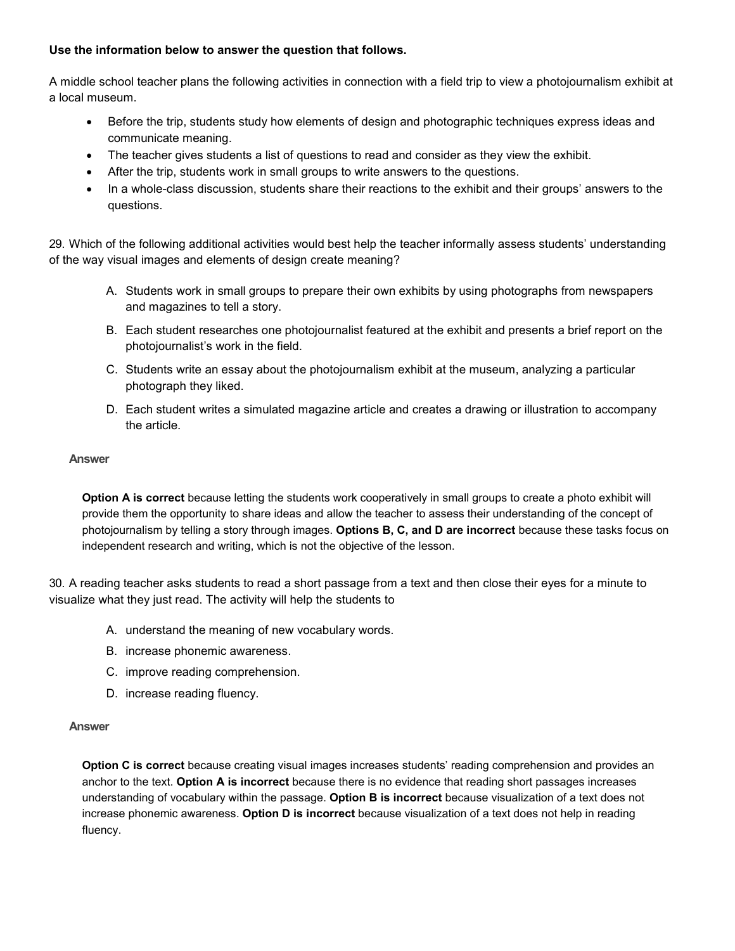## **Use the information below to answer the question that follows.**

A middle school teacher plans the following activities in connection with a field trip to view a photojournalism exhibit at a local museum.

- Before the trip, students study how elements of design and photographic techniques express ideas and communicate meaning.
- The teacher gives students a list of questions to read and consider as they view the exhibit.
- After the trip, students work in small groups to write answers to the questions.
- In a whole-class discussion, students share their reactions to the exhibit and their groups' answers to the questions.

29. Which of the following additional activities would best help the teacher informally assess students' understanding of the way visual images and elements of design create meaning?

- A. Students work in small groups to prepare their own exhibits by using photographs from newspapers and magazines to tell a story.
- B. Each student researches one photojournalist featured at the exhibit and presents a brief report on the photojournalist's work in the field.
- C. Students write an essay about the photojournalism exhibit at the museum, analyzing a particular photograph they liked.
- D. Each student writes a simulated magazine article and creates a drawing or illustration to accompany the article.

#### **Answer**

**Option A is correct** because letting the students work cooperatively in small groups to create a photo exhibit will provide them the opportunity to share ideas and allow the teacher to assess their understanding of the concept of photojournalism by telling a story through images. **Options B, C, and D are incorrect** because these tasks focus on independent research and writing, which is not the objective of the lesson.

30. A reading teacher asks students to read a short passage from a text and then close their eyes for a minute to visualize what they just read. The activity will help the students to

- A. understand the meaning of new vocabulary words.
- B. increase phonemic awareness.
- C. improve reading comprehension.
- D. increase reading fluency.

#### **Answer**

**Option C is correct** because creating visual images increases students' reading comprehension and provides an anchor to the text. **Option A is incorrect** because there is no evidence that reading short passages increases understanding of vocabulary within the passage. **Option B is incorrect** because visualization of a text does not increase phonemic awareness. **Option D is incorrect** because visualization of a text does not help in reading fluency.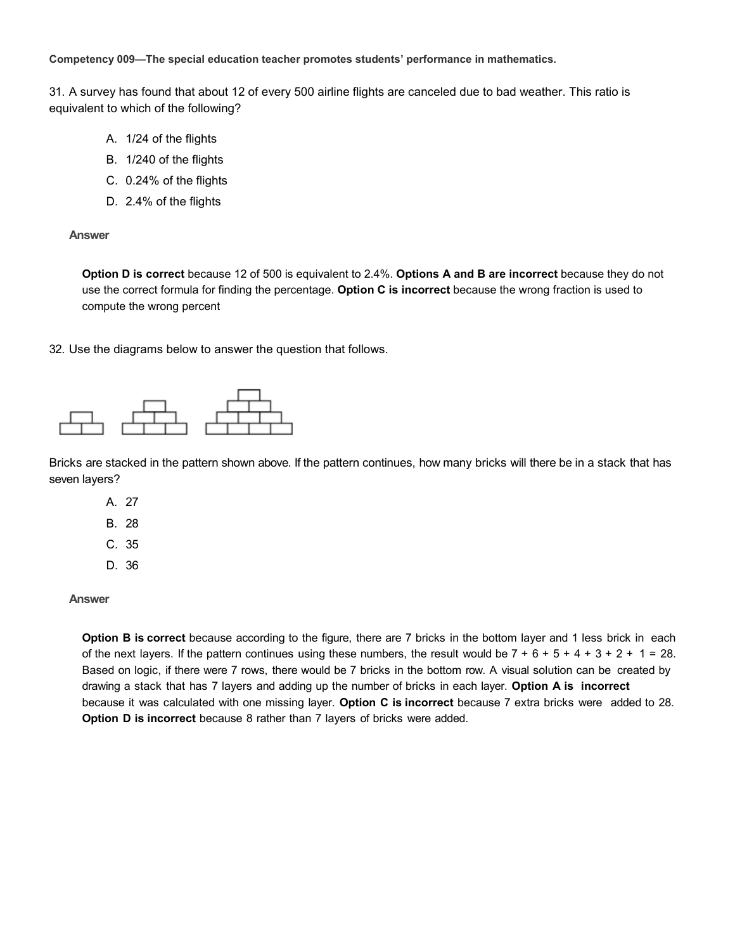**Competency 009—The special education teacher promotes students' performance in mathematics.**

31. A survey has found that about 12 of every 500 airline flights are canceled due to bad weather. This ratio is equivalent to which of the following?

- A. 1/24 of the flights
- B. 1/240 of the flights
- C. 0.24% of the flights
- D. 2.4% of the flights

**Answer**

**Option D is correct** because 12 of 500 is equivalent to 2.4%. **Options A and B are incorrect** because they do not use the correct formula for finding the percentage. **Option C is incorrect** because the wrong fraction is used to compute the wrong percent

32. Use the diagrams below to answer the question that follows.



Bricks are stacked in the pattern shown above. If the pattern continues, how many bricks will there be in a stack that has seven layers?

A. 27 B. 28 C. 35 D. 36

**Answer**

**Option B is correct** because according to the figure, there are 7 bricks in the bottom layer and 1 less brick in each of the next layers. If the pattern continues using these numbers, the result would be  $7 + 6 + 5 + 4 + 3 + 2 + 1 = 28$ . Based on logic, if there were 7 rows, there would be 7 bricks in the bottom row. A visual solution can be created by drawing a stack that has 7 layers and adding up the number of bricks in each layer. **Option A is incorrect** because it was calculated with one missing layer. **Option C is incorrect** because 7 extra bricks were added to 28. **Option D is incorrect** because 8 rather than 7 layers of bricks were added.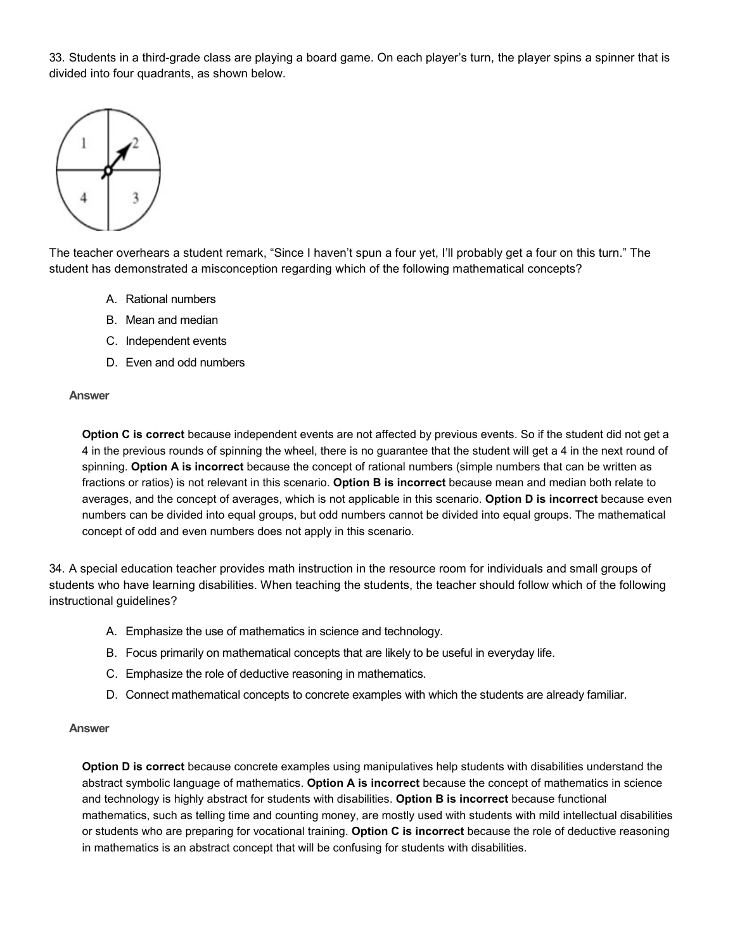33. Students in a third-grade class are playing a board game. On each player's turn, the player spins a spinner that is divided into four quadrants, as shown below.



The teacher overhears a student remark, "Since I haven't spun a four yet, I'll probably get a four on this turn." The student has demonstrated a misconception regarding which of the following mathematical concepts?

- A. Rational numbers
- B. Mean and median
- C. Independent events
- D. Even and odd numbers

#### **Answer**

**Option C is correct** because independent events are not affected by previous events. So if the student did not get a 4 in the previous rounds of spinning the wheel, there is no guarantee that the student will get a 4 in the next round of spinning. **Option A is incorrect** because the concept of rational numbers (simple numbers that can be written as fractions or ratios) is not relevant in this scenario. **Option B is incorrect** because mean and median both relate to averages, and the concept of averages, which is not applicable in this scenario. **Option D is incorrect** because even numbers can be divided into equal groups, but odd numbers cannot be divided into equal groups. The mathematical concept of odd and even numbers does not apply in this scenario.

34. A special education teacher provides math instruction in the resource room for individuals and small groups of students who have learning disabilities. When teaching the students, the teacher should follow which of the following instructional guidelines?

- A. Emphasize the use of mathematics in science and technology.
- B. Focus primarily on mathematical concepts that are likely to be useful in everyday life.
- C. Emphasize the role of deductive reasoning in mathematics.
- D. Connect mathematical concepts to concrete examples with which the students are already familiar.

#### **Answer**

**Option D is correct** because concrete examples using manipulatives help students with disabilities understand the abstract symbolic language of mathematics. **Option A is incorrect** because the concept of mathematics in science and technology is highly abstract for students with disabilities. **Option B is incorrect** because functional mathematics, such as telling time and counting money, are mostly used with students with mild intellectual disabilities or students who are preparing for vocational training. **Option C is incorrect** because the role of deductive reasoning in mathematics is an abstract concept that will be confusing for students with disabilities.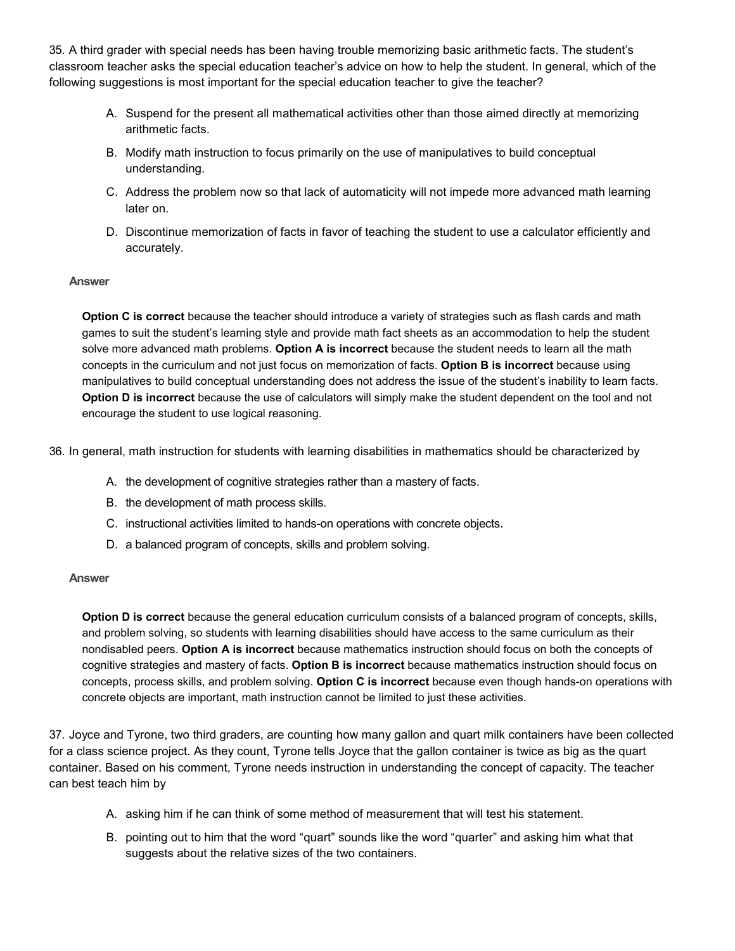35. A third grader with special needs has been having trouble memorizing basic arithmetic facts. The student's classroom teacher asks the special education teacher's advice on how to help the student. In general, which of the following suggestions is most important for the special education teacher to give the teacher?

- A. Suspend for the present all mathematical activities other than those aimed directly at memorizing arithmetic facts.
- B. Modify math instruction to focus primarily on the use of manipulatives to build conceptual understanding.
- C. Address the problem now so that lack of automaticity will not impede more advanced math learning later on.
- D. Discontinue memorization of facts in favor of teaching the student to use a calculator efficiently and accurately.

## **Answer**

**Option C is correct** because the teacher should introduce a variety of strategies such as flash cards and math games to suit the student's learning style and provide math fact sheets as an accommodation to help the student solve more advanced math problems. **Option A is incorrect** because the student needs to learn all the math concepts in the curriculum and not just focus on memorization of facts. **Option B is incorrect** because using manipulatives to build conceptual understanding does not address the issue of the student's inability to learn facts. **Option D is incorrect** because the use of calculators will simply make the student dependent on the tool and not encourage the student to use logical reasoning.

36. In general, math instruction for students with learning disabilities in mathematics should be characterized by

- A. the development of cognitive strategies rather than a mastery of facts.
- B. the development of math process skills.
- C. instructional activities limited to hands-on operations with concrete objects.
- D. a balanced program of concepts, skills and problem solving.

#### **Answer**

**Option D is correct** because the general education curriculum consists of a balanced program of concepts, skills, and problem solving, so students with learning disabilities should have access to the same curriculum as their nondisabled peers. **Option A is incorrect** because mathematics instruction should focus on both the concepts of cognitive strategies and mastery of facts. **Option B is incorrect** because mathematics instruction should focus on concepts, process skills, and problem solving. **Option C is incorrect** because even though hands-on operations with concrete objects are important, math instruction cannot be limited to just these activities.

37. Joyce and Tyrone, two third graders, are counting how many gallon and quart milk containers have been collected for a class science project. As they count, Tyrone tells Joyce that the gallon container is twice as big as the quart container. Based on his comment, Tyrone needs instruction in understanding the concept of capacity. The teacher can best teach him by

- A. asking him if he can think of some method of measurement that will test his statement.
- B. pointing out to him that the word "quart" sounds like the word "quarter" and asking him what that suggests about the relative sizes of the two containers.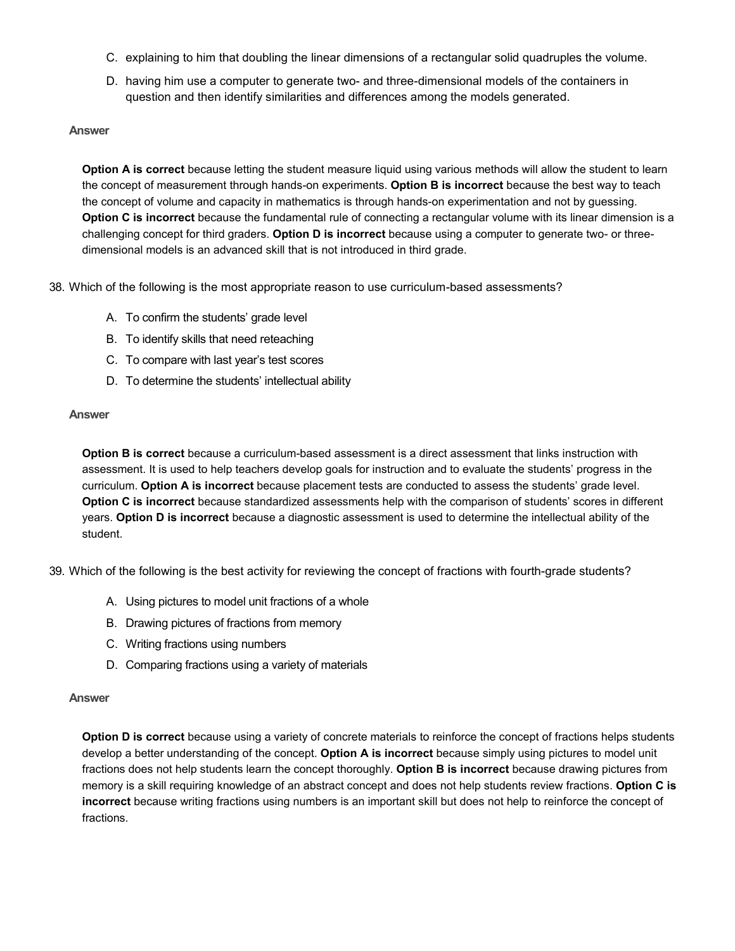- C. explaining to him that doubling the linear dimensions of a rectangular solid quadruples the volume.
- D. having him use a computer to generate two- and three-dimensional models of the containers in question and then identify similarities and differences among the models generated.

**Option A is correct** because letting the student measure liquid using various methods will allow the student to learn the concept of measurement through hands-on experiments. **Option B is incorrect** because the best way to teach the concept of volume and capacity in mathematics is through hands-on experimentation and not by guessing. **Option C is incorrect** because the fundamental rule of connecting a rectangular volume with its linear dimension is a challenging concept for third graders. **Option D is incorrect** because using a computer to generate two- or threedimensional models is an advanced skill that is not introduced in third grade.

38. Which of the following is the most appropriate reason to use curriculum-based assessments?

- A. To confirm the students' grade level
- B. To identify skills that need reteaching
- C. To compare with last year's test scores
- D. To determine the students' intellectual ability

#### **Answer**

**Option B is correct** because a curriculum-based assessment is a direct assessment that links instruction with assessment. It is used to help teachers develop goals for instruction and to evaluate the students' progress in the curriculum. **Option A is incorrect** because placement tests are conducted to assess the students' grade level. **Option C is incorrect** because standardized assessments help with the comparison of students' scores in different years. **Option D is incorrect** because a diagnostic assessment is used to determine the intellectual ability of the student.

39. Which of the following is the best activity for reviewing the concept of fractions with fourth-grade students?

- A. Using pictures to model unit fractions of a whole
- B. Drawing pictures of fractions from memory
- C. Writing fractions using numbers
- D. Comparing fractions using a variety of materials

#### **Answer**

**Option D is correct** because using a variety of concrete materials to reinforce the concept of fractions helps students develop a better understanding of the concept. **Option A is incorrect** because simply using pictures to model unit fractions does not help students learn the concept thoroughly. **Option B is incorrect** because drawing pictures from memory is a skill requiring knowledge of an abstract concept and does not help students review fractions. **Option C is incorrect** because writing fractions using numbers is an important skill but does not help to reinforce the concept of fractions.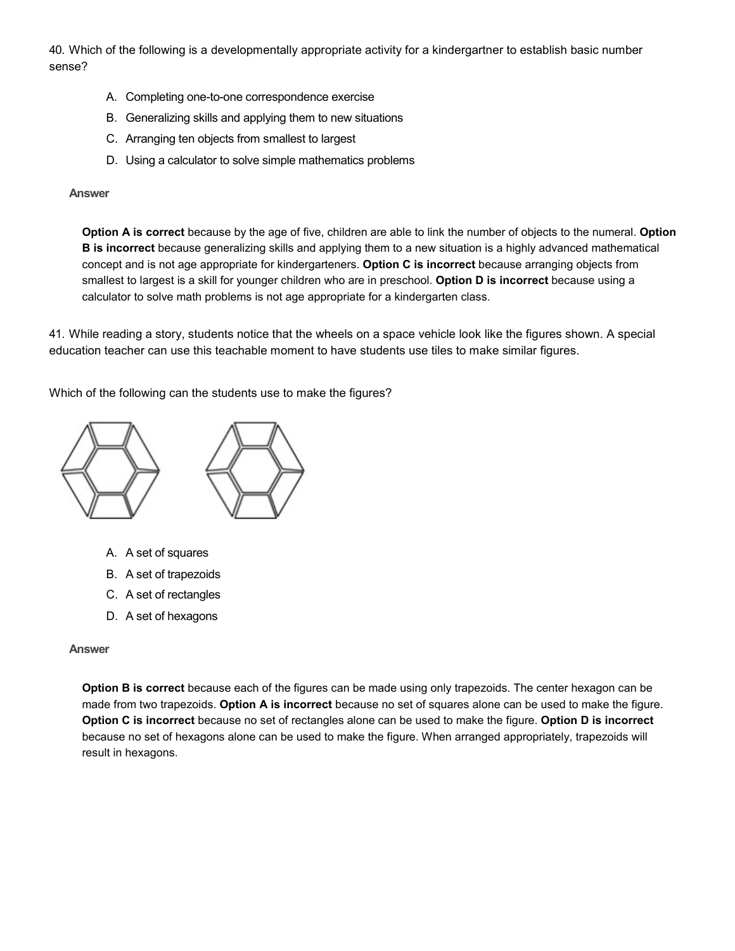40. Which of the following is a developmentally appropriate activity for a kindergartner to establish basic number sense?

- A. Completing one-to-one correspondence exercise
- B. Generalizing skills and applying them to new situations
- C. Arranging ten objects from smallest to largest
- D. Using a calculator to solve simple mathematics problems

#### **Answer**

**Option A is correct** because by the age of five, children are able to link the number of objects to the numeral. **Option B is incorrect** because generalizing skills and applying them to a new situation is a highly advanced mathematical concept and is not age appropriate for kindergarteners. **Option C is incorrect** because arranging objects from smallest to largest is a skill for younger children who are in preschool. **Option D is incorrect** because using a calculator to solve math problems is not age appropriate for a kindergarten class.

41. While reading a story, students notice that the wheels on a space vehicle look like the figures shown. A special education teacher can use this teachable moment to have students use tiles to make similar figures.

Which of the following can the students use to make the figures?



- A. A set of squares
- B. A set of trapezoids
- C. A set of rectangles
- D. A set of hexagons

#### **Answer**

**Option B is correct** because each of the figures can be made using only trapezoids. The center hexagon can be made from two trapezoids. **Option A is incorrect** because no set of squares alone can be used to make the figure. **Option C is incorrect** because no set of rectangles alone can be used to make the figure. **Option D is incorrect**  because no set of hexagons alone can be used to make the figure. When arranged appropriately, trapezoids will result in hexagons.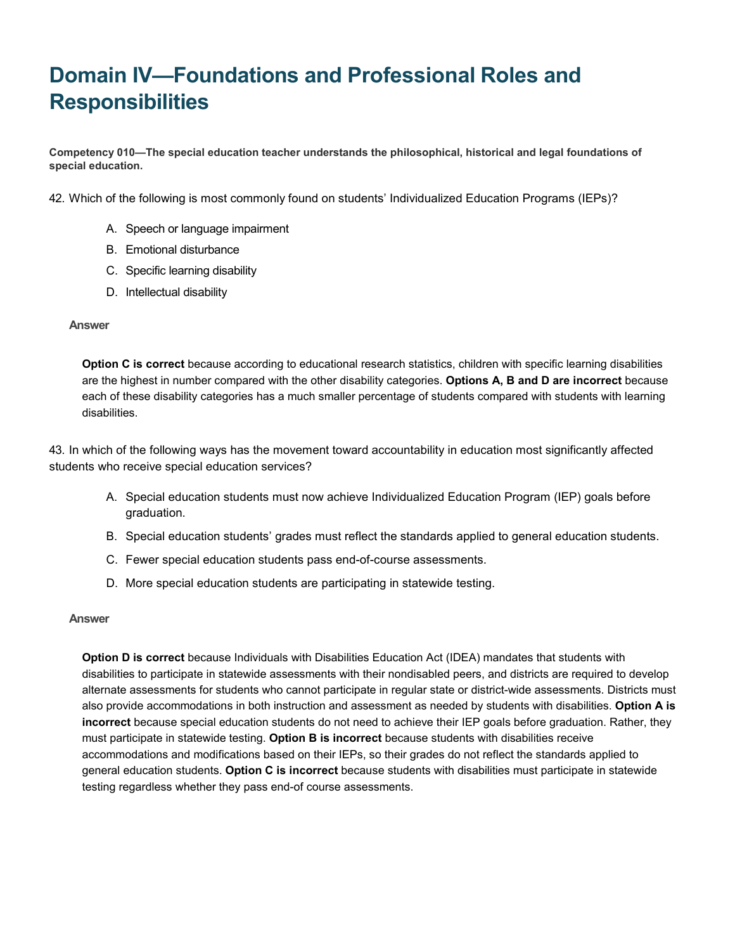# **Domain IV—Foundations and Professional Roles and Responsibilities**

**Competency 010—The special education teacher understands the philosophical, historical and legal foundations of special education.**

42. Which of the following is most commonly found on students' Individualized Education Programs (IEPs)?

- A. Speech or language impairment
- B. Emotional disturbance
- C. Specific learning disability
- D. Intellectual disability

#### **Answer**

**Option C is correct** because according to educational research statistics, children with specific learning disabilities are the highest in number compared with the other disability categories. **Options A, B and D are incorrect** because each of these disability categories has a much smaller percentage of students compared with students with learning disabilities.

43. In which of the following ways has the movement toward accountability in education most significantly affected students who receive special education services?

- A. Special education students must now achieve Individualized Education Program (IEP) goals before graduation.
- B. Special education students' grades must reflect the standards applied to general education students.
- C. Fewer special education students pass end-of-course assessments.
- D. More special education students are participating in statewide testing.

#### **Answer**

**Option D is correct** because Individuals with Disabilities Education Act (IDEA) mandates that students with disabilities to participate in statewide assessments with their nondisabled peers, and districts are required to develop alternate assessments for students who cannot participate in regular state or district-wide assessments. Districts must also provide accommodations in both instruction and assessment as needed by students with disabilities. **Option A is incorrect** because special education students do not need to achieve their IEP goals before graduation. Rather, they must participate in statewide testing. **Option B is incorrect** because students with disabilities receive accommodations and modifications based on their IEPs, so their grades do not reflect the standards applied to general education students. **Option C is incorrect** because students with disabilities must participate in statewide testing regardless whether they pass end-of course assessments.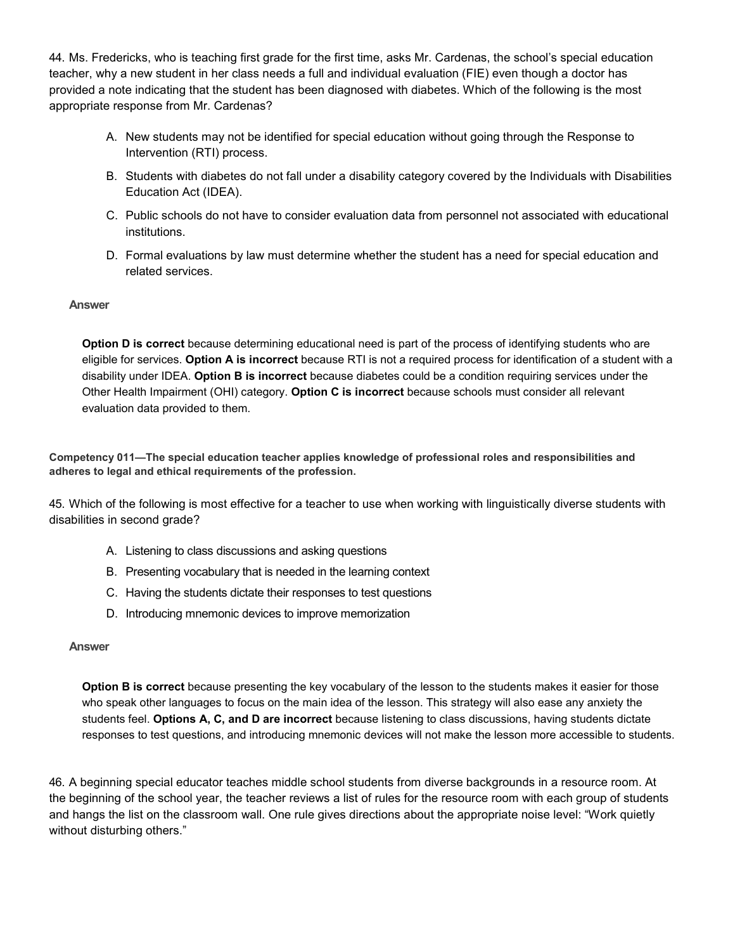44. Ms. Fredericks, who is teaching first grade for the first time, asks Mr. Cardenas, the school's special education teacher, why a new student in her class needs a full and individual evaluation (FIE) even though a doctor has provided a note indicating that the student has been diagnosed with diabetes. Which of the following is the most appropriate response from Mr. Cardenas?

- A. New students may not be identified for special education without going through the Response to Intervention (RTI) process.
- B. Students with diabetes do not fall under a disability category covered by the Individuals with Disabilities Education Act (IDEA).
- C. Public schools do not have to consider evaluation data from personnel not associated with educational institutions.
- D. Formal evaluations by law must determine whether the student has a need for special education and related services.

## **Answer**

**Option D is correct** because determining educational need is part of the process of identifying students who are eligible for services. **Option A is incorrect** because RTI is not a required process for identification of a student with a disability under IDEA. **Option B is incorrect** because diabetes could be a condition requiring services under the Other Health Impairment (OHI) category. **Option C is incorrect** because schools must consider all relevant evaluation data provided to them.

**Competency 011—The special education teacher applies knowledge of professional roles and responsibilities and adheres to legal and ethical requirements of the profession.**

45. Which of the following is most effective for a teacher to use when working with linguistically diverse students with disabilities in second grade?

- A. Listening to class discussions and asking questions
- B. Presenting vocabulary that is needed in the learning context
- C. Having the students dictate their responses to test questions
- D. Introducing mnemonic devices to improve memorization

#### **Answer**

**Option B is correct** because presenting the key vocabulary of the lesson to the students makes it easier for those who speak other languages to focus on the main idea of the lesson. This strategy will also ease any anxiety the students feel. **Options A, C, and D are incorrect** because listening to class discussions, having students dictate responses to test questions, and introducing mnemonic devices will not make the lesson more accessible to students.

46. A beginning special educator teaches middle school students from diverse backgrounds in a resource room. At the beginning of the school year, the teacher reviews a list of rules for the resource room with each group of students and hangs the list on the classroom wall. One rule gives directions about the appropriate noise level: "Work quietly without disturbing others."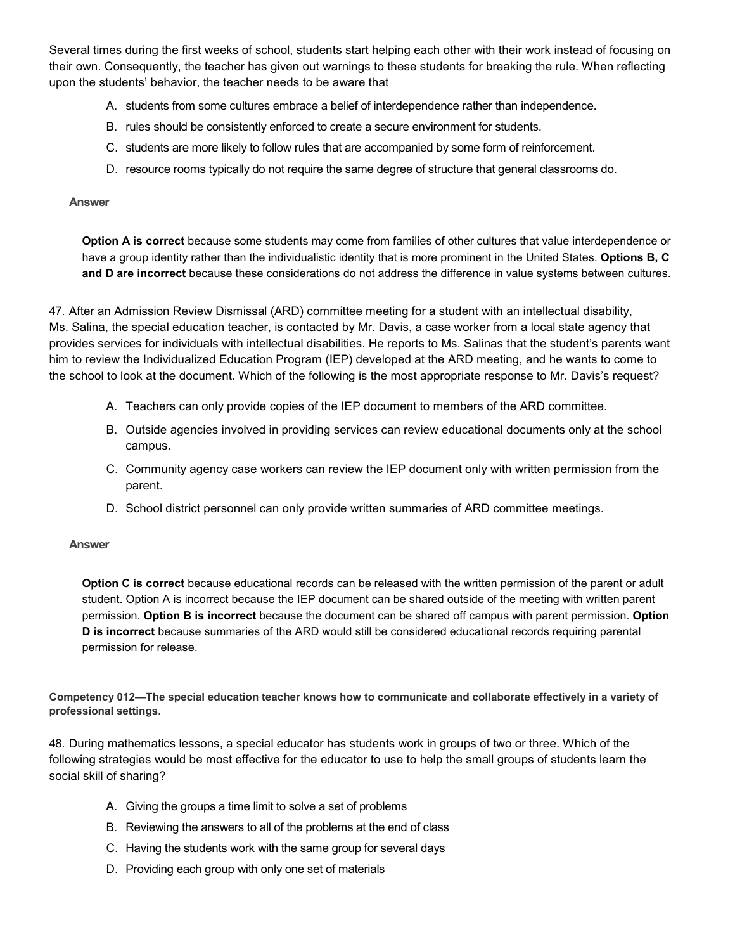Several times during the first weeks of school, students start helping each other with their work instead of focusing on their own. Consequently, the teacher has given out warnings to these students for breaking the rule. When reflecting upon the students' behavior, the teacher needs to be aware that

- A. students from some cultures embrace a belief of interdependence rather than independence.
- B. rules should be consistently enforced to create a secure environment for students.
- C. students are more likely to follow rules that are accompanied by some form of reinforcement.
- D. resource rooms typically do not require the same degree of structure that general classrooms do.

#### **Answer**

**Option A is correct** because some students may come from families of other cultures that value interdependence or have a group identity rather than the individualistic identity that is more prominent in the United States. **Options B, C and D are incorrect** because these considerations do not address the difference in value systems between cultures.

47. After an Admission Review Dismissal (ARD) committee meeting for a student with an intellectual disability, Ms. Salina, the special education teacher, is contacted by Mr. Davis, a case worker from a local state agency that provides services for individuals with intellectual disabilities. He reports to Ms. Salinas that the student's parents want him to review the Individualized Education Program (IEP) developed at the ARD meeting, and he wants to come to the school to look at the document. Which of the following is the most appropriate response to Mr. Davis's request?

- A. Teachers can only provide copies of the IEP document to members of the ARD committee.
- B. Outside agencies involved in providing services can review educational documents only at the school campus.
- C. Community agency case workers can review the IEP document only with written permission from the parent.
- D. School district personnel can only provide written summaries of ARD committee meetings.

## **Answer**

**Option C is correct** because educational records can be released with the written permission of the parent or adult student. Option A is incorrect because the IEP document can be shared outside of the meeting with written parent permission. **Option B is incorrect** because the document can be shared off campus with parent permission. **Option D is incorrect** because summaries of the ARD would still be considered educational records requiring parental permission for release.

**Competency 012—The special education teacher knows how to communicate and collaborate effectively in a variety of professional settings.**

48. During mathematics lessons, a special educator has students work in groups of two or three. Which of the following strategies would be most effective for the educator to use to help the small groups of students learn the social skill of sharing?

- A. Giving the groups a time limit to solve a set of problems
- B. Reviewing the answers to all of the problems at the end of class
- C. Having the students work with the same group for several days
- D. Providing each group with only one set of materials